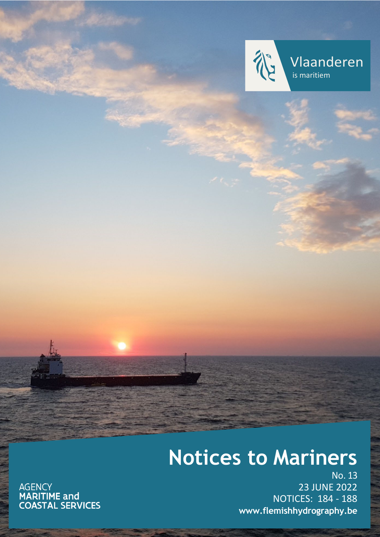

Vlaanderen is maritiem

# **Notices to Mariners**

AGENCY<br>**MARITIME and<br>COASTAL SERVICES** 

No. 13 23 JUNE 2022 NOTICES: 184 - 188 **[www.flemishhydrography.be](http://www.flemishhydrography.be/)**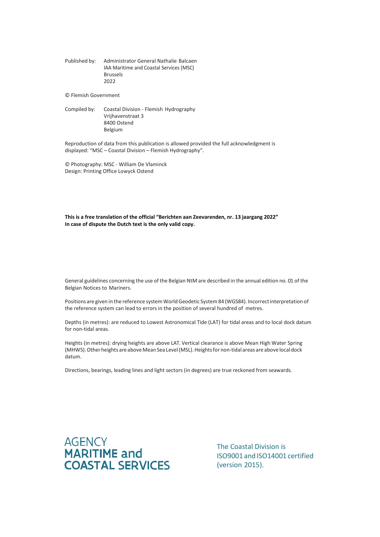Published by: Administrator General Nathalie Balcaen IAA Maritime and Coastal Services (MSC) Brussels 2022

© Flemish Government

Compiled by: Coastal Division - Flemish Hydrography Vrijhavenstraat 3 8400 Ostend Belgium

Reproduction of data from this publication is allowed provided the full acknowledgment is displayed: "MSC – Coastal Division – Flemish Hydrography".

© Photography: MSC - William De Vlaminck Design: Printing Office Lowyck Ostend

**This is a free translation of the official "Berichten aan Zeevarenden, nr. 13 jaargang 2022" In case of dispute the Dutch text is the only valid copy.**

General guidelines concerning the use of the Belgian NtM are described in the annual edition no. 01 of the Belgian Notices to Mariners.

Positions are given in the reference system World Geodetic System 84 (WGS84). Incorrect interpretation of the reference system can lead to errors in the position of several hundred of metres.

Depths (in metres): are reduced to Lowest Astronomical Tide (LAT) for tidal areas and to local dock datum for non-tidal areas.

Heights (in metres): drying heights are above LAT. Vertical clearance is above Mean High Water Spring (MHWS). Other heights are above Mean Sea Level (MSL). Heights for non-tidal areas are above local dock datum.

Directions, bearings, leading lines and light sectors (in degrees) are true reckoned from seawards.



The Coastal Division is ISO9001 and ISO14001 certified (version 2015).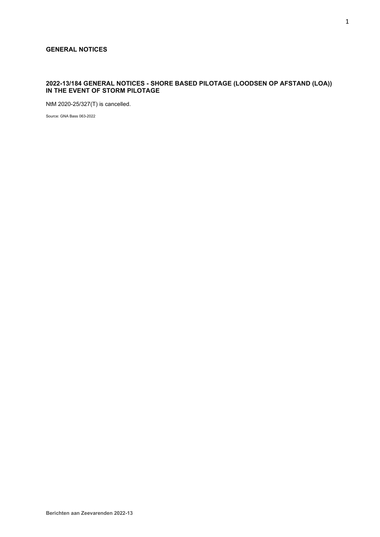# **GENERAL NOTICES**

# **2022-13/184 GENERAL NOTICES - SHORE BASED PILOTAGE (LOODSEN OP AFSTAND (LOA)) IN THE EVENT OF STORM PILOTAGE**

NtM 2020-25/327(T) is cancelled.

Source: GNA Bass 063-2022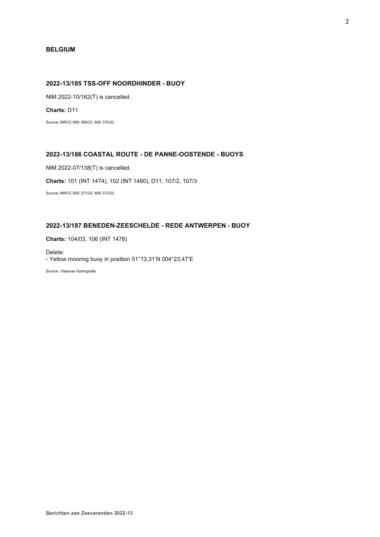# **BELGIUM**

# **2022-13/185 TSS-OFF NOORDHINDER - BUOY**

NtM 2022-10/162(T) is cancelled.

**Charts:** D11

Source: MRCC MSI 369/22, MSI 370/22

# **2022-13/186 COASTAL ROUTE - DE PANNE-OOSTENDE - BUOYS**

NtM 2022-07/138(T) is cancelled.

**Charts:** 101 (INT 1474), 102 (INT 1480), D11, 107/2, 107/3

Source: MRCC MSI 371/22, MSI 372/22

# **2022-13/187 BENEDEN-ZEESCHELDE - REDE ANTWERPEN - BUOY**

**Charts:** 104/03, 106 (INT 1478)

Delete: - Yellow mooring buoy in position 51°13,31'N 004°23,47'E

Source: Vlaamse Hydrografie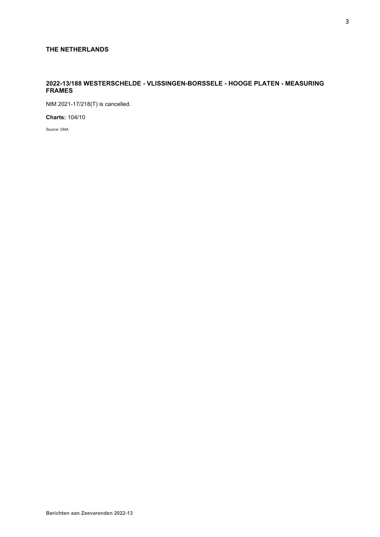# **THE NETHERLANDS**

# **2022-13/188 WESTERSCHELDE - VLISSINGEN-BORSSELE - HOOGE PLATEN - MEASURING FRAMES**

NtM 2021-17/218(T) is cancelled.

**Charts:** 104/10

Source: GNA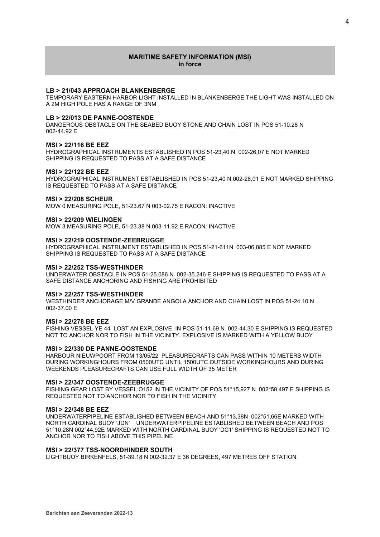## **MARITIME SAFETY INFORMATION (MSI) in force**

## **LB > 21/043 APPROACH BLANKENBERGE**

TEMPORARY EASTERN HARBOR LIGHT INSTALLED IN BLANKENBERGE THE LIGHT WAS INSTALLED ON A 2M HIGH POLE HAS A RANGE OF 3NM

## **LB > 22/013 DE PANNE-OOSTENDE**

DANGEROUS OBSTACLE ON THE SEABED BUOY STONE AND CHAIN LOST IN POS 51-10.28 N 002-44.92 E

#### **MSI > 22/116 BE EEZ**

HYDROGRAPHICAL INSTRUMENTS ESTABLISHED IN POS 51-23,40 N 002-26,07 E NOT MARKED SHIPPING IS REQUESTED TO PASS AT A SAFE DISTANCE

## **MSI > 22/122 BE EEZ**

HYDROGRAPHICAL INSTRUMENT ESTABLISHED IN POS 51-23,40 N 002-26,01 E NOT MARKED SHIPPING IS REQUESTED TO PASS AT A SAFE DISTANCE

## **MSI > 22/208 SCHEUR**

MOW 0 MEASURING POLE, 51-23.67 N 003-02.75 E RACON: INACTIVE

#### **MSI > 22/209 WIELINGEN**

MOW 3 MEASURING POLE, 51-23.38 N 003-11.92 E RACON: INACTIVE

#### **MSI > 22/219 OOSTENDE-ZEEBRUGGE**

HYDROGRAPHICAL INSTRUMENT ESTABLISHED IN POS 51-21-611N 003-06,885 E NOT MARKED SHIPPING IS REQUESTED TO PASS AT A SAFE DISTANCE

#### **MSI > 22/252 TSS-WESTHINDER**

UNDERWATER OBSTACLE IN POS 51-25.086 N 002-35.246 E SHIPPING IS REQUESTED TO PASS AT A SAFE DISTANCE ANCHORING AND FISHING ARE PROHIBITED

#### **MSI > 22/257 TSS-WESTHINDER**

WESTHINDER ANCHORAGE M/V GRANDE ANGOLA ANCHOR AND CHAIN LOST IN POS 51-24.10 N 002-37.00 E

#### **MSI > 22/278 BE EEZ**

FISHING VESSEL YE 44 LOST AN EXPLOSIVE IN POS 51-11.69 N 002-44.30 E SHIPPING IS REQUESTED NOT TO ANCHOR NOR TO FISH IN THE VICINITY. EXPLOSIVE IS MARKED WITH A YELLOW BUOY

## **MSI > 22/330 DE PANNE-OOSTENDE**

HARBOUR NIEUWPOORT FROM 13/05/22 PLEASURECRAFTS CAN PASS WITHIN 10 METERS WIDTH DURING WORKINGHOURS FROM 0500UTC UNTIL 1500UTC OUTSIDE WORKINGHOURS AND DURING WEEKENDS PLEASURECRAFTS CAN USE FULL WIDTH OF 35 METER

#### **MSI > 22/347 OOSTENDE-ZEEBRUGGE**

FISHING GEAR LOST BY VESSEL O152 IN THE VICINITY OF POS 51°15,927 N 002°58,497 E SHIPPING IS REQUESTED NOT TO ANCHOR NOR TO FISH IN THE VICINITY

#### **MSI > 22/348 BE EEZ**

UNDERWATERPIPELINE ESTABLISHED BETWEEN BEACH AND 51°13,38N 002°51,66E MARKED WITH NORTH CARDINAL BUOY 'JDN' UNDERWATERPIPELINE ESTABLISHED BETWEEN BEACH AND POS 51°10,28N 002°44,92E MARKED WITH NORTH CARDINAL BUOY 'DC1' SHIPPING IS REQUESTED NOT TO ANCHOR NOR TO FISH ABOVE THIS PIPELINE

## **MSI > 22/377 TSS-NOORDHINDER SOUTH**

LIGHTBUOY BIRKENFELS, 51-39.18 N 002-32.37 E 36 DEGREES, 497 METRES OFF STATION